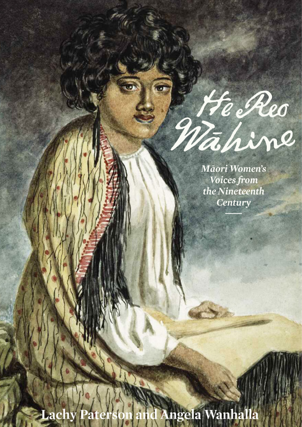

Māori Women's **Voices** from the Nineteenth **Century** 

Angela Wanhalla **Lachy Paterso**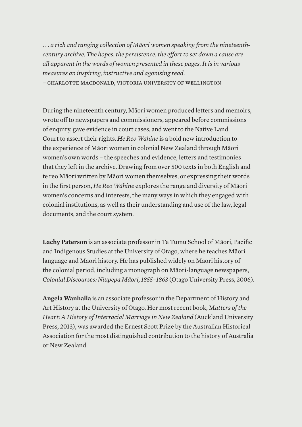*. . . a rich and ranging collection of Māori women speaking from the nineteenthcentury archive. The hopes, the persistence, the effort to set down a cause are all apparent in the words of women presented in these pages. It is in various measures an inspiring, instructive and agonising read.* 

– Charlotte Macdonald, Victoria University of Wellington

During the nineteenth century, Māori women produced letters and memoirs, wrote off to newspapers and commissioners, appeared before commissions of enquiry, gave evidence in court cases, and went to the Native Land Court to assert their rights. *He Reo Wāhine* is a bold new introduction to the experience of Māori women in colonial New Zealand through Māori women's own words – the speeches and evidence, letters and testimonies that they left in the archive. Drawing from over 500 texts in both English and te reo Māori written by Māori women themselves, or expressing their words in the first person, *He Reo Wāhine* explores the range and diversity of Māori women's concerns and interests, the many ways in which they engaged with colonial institutions, as well as their understanding and use of the law, legal documents, and the court system.

**Lachy Paterson** is an associate professor in Te Tumu School of Māori, Pacific and Indigenous Studies at the University of Otago, where he teaches Māori language and Māori history. He has published widely on Māori history of the colonial period, including a monograph on Māori-language newspapers, *Colonial Discourses: Niupepa Māori, 1855–1863* (Otago University Press, 2006).

**Angela Wanhalla** is an associate professor in the Department of History and Art History at the University of Otago. Her most recent book, M*atters of the Heart: A History of Interracial Marriage in New Zealand* (Auckland University Press, 2013), was awarded the Ernest Scott Prize by the Australian Historical Association for the most distinguished contribution to the history of Australia or New Zealand.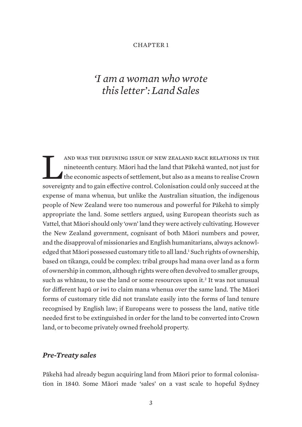### CHAPTER 1

# *'I am a woman who wrote this letter': Land Sales*

AND WAS THE DEFINING ISSUE OF NEW ZEALAND RACE RELATIONS IN THE<br>nineteenth century. Māori had the land that Pākehā wanted, not just for<br>the economic aspects of settlement, but also as a means to realise Crown<br>sovereignty a nineteenth century. Māori had the land that Pākehā wanted, not just for the economic aspects of settlement, but also as a means to realise Crown sovereignty and to gain effective control. Colonisation could only succeed at the expense of mana whenua, but unlike the Australian situation, the indigenous people of New Zealand were too numerous and powerful for Pākehā to simply appropriate the land. Some settlers argued, using European theorists such as Vattel, that Māori should only 'own' land they were actively cultivating. However the New Zealand government, cognisant of both Māori numbers and power, and the disapproval of missionaries and English humanitarians, always acknowledged that Māori possessed customary title to all land.<sup>1</sup> Such rights of ownership, based on tikanga, could be complex: tribal groups had mana over land as a form of ownership in common, although rights were often devolved to smaller groups, such as whānau, to use the land or some resources upon it.2 It was not unusual for different hapū or iwi to claim mana whenua over the same land. The Māori forms of customary title did not translate easily into the forms of land tenure recognised by English law; if Europeans were to possess the land, native title needed first to be extinguished in order for the land to be converted into Crown land, or to become privately owned freehold property.

## *Pre-Treaty sales*

Pākehā had already begun acquiring land from Māori prior to formal colonisation in 1840. Some Māori made 'sales' on a vast scale to hopeful Sydney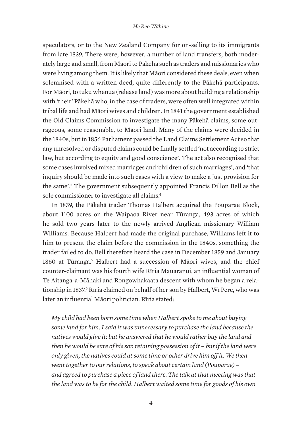#### *He Reo Wāhine*

speculators, or to the New Zealand Company for on-selling to its immigrants from late 1839. There were, however, a number of land transfers, both moderately large and small, from Māori to Pākehā such as traders and missionaries who were living among them. It is likely that Māori considered these deals, even when solemnised with a written deed, quite differently to the Pākehā participants. For Māori, to tuku whenua (release land) was more about building a relationship with 'their' Pākehā who, in the case of traders, were often well integrated within tribal life and had Māori wives and children. In 1841 the government established the Old Claims Commission to investigate the many Pākehā claims, some outrageous, some reasonable, to Māori land. Many of the claims were decided in the 1840s, but in 1856 Parliament passed the Land Claims Settlement Act so that any unresolved or disputed claims could be finally settled 'not according to strict law, but according to equity and good conscience'. The act also recognised that some cases involved mixed marriages and 'children of such marriages', and 'that inquiry should be made into such cases with a view to make a just provision for the same'.3 The government subsequently appointed Francis Dillon Bell as the sole commissioner to investigate all claims.4

In 1839, the Pākehā trader Thomas Halbert acquired the Pouparae Block, about 1100 acres on the Waipaoa River near Tūranga, 493 acres of which he sold two years later to the newly arrived Anglican missionary William Williams. Because Halbert had made the original purchase, Williams left it to him to present the claim before the commission in the 1840s, something the trader failed to do. Bell therefore heard the case in December 1859 and January 1860 at Tūranga.<sup>5</sup> Halbert had a succession of Māori wives, and the chief counter-claimant was his fourth wife Rīria Mauaranui, an influential woman of Te Aitanga-a-Māhaki and Rongowhakaata descent with whom he began a relationship in 1837.6 Rīria claimed on behalf of her son by Halbert, Wī Pere, who was later an influential Māori politician. Rīria stated:

*My child had been born some time when Halbert spoke to me about buying some land for him. I said it was unnecessary to purchase the land because the natives would give it: but he answered that he would rather buy the land and then he would be sure of his son retaining possession of it – but if the land were only given, the natives could at some time or other drive him off it. We then went together to our relations, to speak about certain land (Pouparae) – and agreed to purchase a piece of land there. The talk at that meeting was that the land was to be for the child. Halbert waited some time for goods of his own*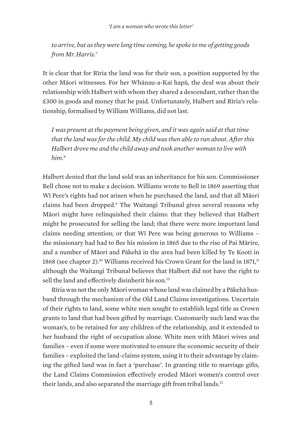*to arrive, but as they were long time coming, he spoke to me of getting goods from Mr. Harris.7*

It is clear that for Rīria the land was for their son, a position supported by the other Māori witnesses. For her Whānau-a-Kai hapū, the deal was about their relationship with Halbert with whom they shared a descendant, rather than the £300 in goods and money that he paid. Unfortunately, Halbert and Rīria's relationship, formalised by William Williams, did not last.

*I was present at the payment being given, and it was again said at that time that the land was for the child. My child was then able to run about. After this Halbert drove me and the child away and took another woman to live with him.8*

Halbert denied that the land sold was an inheritance for his son. Commissioner Bell chose not to make a decision. Williams wrote to Bell in 1869 asserting that Wī Pere's rights had not arisen when he purchased the land, and that all Māori claims had been dropped.<sup>9</sup> The Waitangi Tribunal gives several reasons why Māori might have relinquished their claims: that they believed that Halbert might be prosecuted for selling the land; that there were more important land claims needing attention; or that Wī Pere was being generous to Williams – the missionary had had to flee his mission in 1865 due to the rise of Pai Mārire, and a number of Māori and Pākehā in the area had been killed by Te Kooti in 1868 (see chapter 2).<sup>10</sup> Williams received his Crown Grant for the land in 1871,<sup>11</sup> although the Waitangi Tribunal believes that Halbert did not have the right to sell the land and effectively disinherit his son.<sup>12</sup>

Rīria was not the only Māori woman whose land was claimed by a Pākehā husband through the mechanism of the Old Land Claims investigations. Uncertain of their rights to land, some white men sought to establish legal title as Crown grants to land that had been gifted by marriage. Customarily such land was the woman's, to be retained for any children of the relationship, and it extended to her husband the right of occupation alone. White men with Māori wives and families – even if some were motivated to ensure the economic security of their families – exploited the land-claims system, using it to their advantage by claiming the gifted land was in fact a 'purchase'. In granting title to marriage gifts, the Land Claims Commission effectively eroded Māori women's control over their lands, and also separated the marriage gift from tribal lands.<sup>13</sup>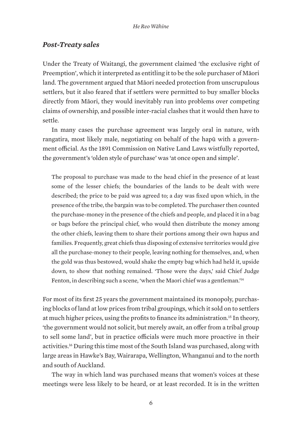## *Post-Treaty sales*

Under the Treaty of Waitangi, the government claimed 'the exclusive right of Preemption', which it interpreted as entitling it to be the sole purchaser of Māori land. The government argued that Māori needed protection from unscrupulous settlers, but it also feared that if settlers were permitted to buy smaller blocks directly from Māori, they would inevitably run into problems over competing claims of ownership, and possible inter-racial clashes that it would then have to settle.

In many cases the purchase agreement was largely oral in nature, with rangatira, most likely male, negotiating on behalf of the hapū with a government official. As the 1891 Commission on Native Land Laws wistfully reported, the government's 'olden style of purchase' was 'at once open and simple'.

The proposal to purchase was made to the head chief in the presence of at least some of the lesser chiefs; the boundaries of the lands to be dealt with were described; the price to be paid was agreed to; a day was fixed upon which, in the presence of the tribe, the bargain was to be completed. The purchaser then counted the purchase-money in the presence of the chiefs and people, and placed it in a bag or bags before the principal chief, who would then distribute the money among the other chiefs, leaving them to share their portions among their own hapus and families. Frequently, great chiefs thus disposing of extensive territories would give all the purchase-money to their people, leaving nothing for themselves, and, when the gold was thus bestowed, would shake the empty bag which had held it, upside down, to show that nothing remained. 'Those were the days,' said Chief Judge Fenton, in describing such a scene, 'when the Maori chief was a gentleman.'14

For most of its first 25 years the government maintained its monopoly, purchasing blocks of land at low prices from tribal groupings, which it sold on to settlers at much higher prices, using the profits to finance its administration.15 In theory, 'the government would not solicit, but merely await, an offer from a tribal group to sell some land', but in practice officials were much more proactive in their activities.16 During this time most of the South Island was purchased, along with large areas in Hawke's Bay, Wairarapa, Wellington, Whanganui and to the north and south of Auckland.

The way in which land was purchased means that women's voices at these meetings were less likely to be heard, or at least recorded. It is in the written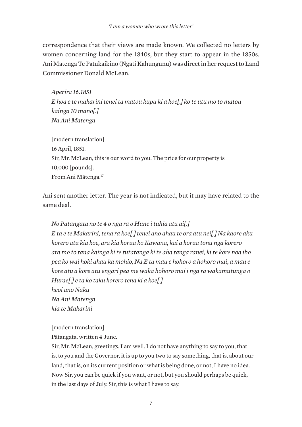correspondence that their views are made known. We collected no letters by women concerning land for the 1840s, but they start to appear in the 1850s. Ani Mātenga Te Patukaikino (Ngāti Kahungunu) was direct in her request to Land Commissioner Donald McLean.

*Aperira 16.1851 E hoa e te makarini tenei ta matou kupu ki a koe[.] ko te utu mo to matou kainga 10 mano[.] Na Ani Matenga*

[modern translation] 16 April, 1851. Sir, Mr. McLean, this is our word to you. The price for our property is 10,000 [pounds]. From Ani Mātenga.17

Ani sent another letter. The year is not indicated, but it may have related to the same deal.

## *No Patangata no te 4 o nga ra o Hune i tuhia atu ai[.]*

*E ta e te Makarini, tena ra koe[.] tenei ano ahau te ora atu nei[.] Na kaore aku korero atu kia koe, ara kia korua ko Kawana, kai a korua tonu nga korero ara mo to taua kainga ki te tutatanga ki te aha tanga ranei, ki te kore noa iho pea ko wai hoki ahau ka mohio, Na E ta mau e hohoro a hohoro mai, a mau e kore atu a kore atu engari pea me waka hohoro mai i nga ra wakamutunga o Hurae[.] e ta ko taku korero tena ki a koe[.] heoi ano Naku Na Ani Matenga*

*kia te Makarini*

[modern translation]

Pātangata, written 4 June.

Sir, Mr. McLean, greetings. I am well. I do not have anything to say to you, that is, to you and the Governor, it is up to you two to say something, that is, about our land, that is, on its current position or what is being done, or not, I have no idea. Now Sir, you can be quick if you want, or not, but you should perhaps be quick, in the last days of July. Sir, this is what I have to say.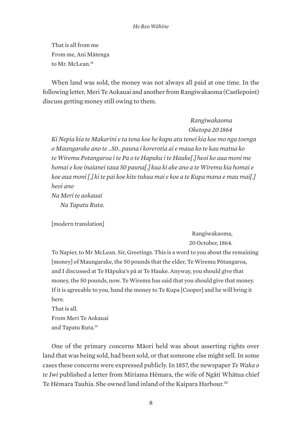### *He Reo Wāhine*

That is all from me From me, Ani Mātenga to Mr. McLean<sup>18</sup>

When land was sold, the money was not always all paid at one time. In the following letter, Meri Te Aokauai and another from Rangiwakaoma (Castlepoint) discuss getting money still owing to them.

> *Rangiwakaoma Oketopa 20 1864*

*Ki Nepia kia te Makarini e ta tena koe he kupu atu tenei kia koe mo nga toenga o Maungarake ano te ..50.. pauna i korerotia ai e maua ko te kau matua ko te Wiremu Potangaroa i te Pa o te Hapuku i te Hauke[.] heoi ko aua moni me homai e koe inaianei taua 50 pauna[.] kua ki ake ano a te Wiremu kia homai e koe aua moni [.] ki te pai koe kite tukua mai e koe a te Kupa mana e mau mai[.] heoi ano Na Meri te aokauai*

*Na Tapatu Ruta.*

[modern translation]

 Rangiwakaoma, 20 October, 1864.

To Napier, to Mr McLean. Sir, Greetings. This is a word to you about the remaining [money] of Maungarake, the 50 pounds that the elder, Te Wiremu Pōtangaroa, and I discussed at Te Hāpuku's pā at Te Hauke. Anyway, you should give that money, the 50 pounds, now. Te Wiremu has said that you should give that money. If it is agreeable to you, hand the money to Te Kupa [Cooper] and he will bring it here.

That is all. From Meri Te Aokauai and Tapatu Ruta.<sup>19</sup>

One of the primary concerns Māori held was about asserting rights over land that was being sold, had been sold, or that someone else might sell. In some cases these concerns were expressed publicly. In 1857, the newspaper *Te Waka o te Iwi* published a letter from Miriama Hēmara, the wife of Ngāti Whātua chief Te Hēmara Tauhia. She owned land inland of the Kaipara Harbour.<sup>20</sup>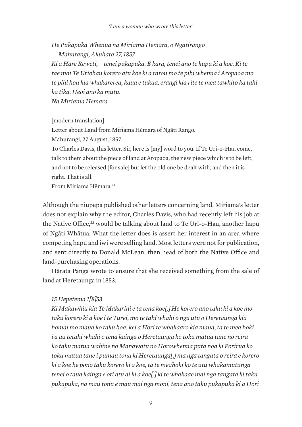*He Pukapuka Whenua na Miriama Hemara, o Ngatirango Mahurangi, Akuhata 27, 1857.*

*Ki a Hare Reweti, – tenei pukapuka. E kara, tenei ano te kupu ki a koe. Ki te tae mai Te Uriohau korero atu koe ki a ratou mo te pihi whenua i Aropaoa mo te pihi hou kia whakarerea, kaua e tukua, erangi kia rite te mea tawhito ka tahi ka tika. Heoi ano ka mutu.*

*Na Miriama Hemara*

[modern translation]

Letter about Land from Miriama Hēmara of Ngāti Rango.

Mahurangi, 27 August, 1857.

To Charles Davis, this letter. Sir, here is [my] word to you. If Te Uri-o-Hau come, talk to them about the piece of land at Aropaoa, the new piece which is to be left, and not to be released [for sale] but let the old one be dealt with, and then it is right. That is all.

From Miriama Hēmara.21

Although the niupepa published other letters concerning land, Miriama's letter does not explain why the editor, Charles Davis, who had recently left his job at the Native Office,<sup>22</sup> would be talking about land to Te Uri-o-Hau, another hapū of Ngāti Whātua. What the letter does is assert her interest in an area where competing hapū and iwi were selling land. Most letters were not for publication, and sent directly to Donald McLean, then head of both the Native Office and land-purchasing operations.

Hārata Panga wrote to ensure that she received something from the sale of land at Heretaunga in 1853.

#### *15 Hepetema 1[8]53*

*Ki Makawhiu kia Te Makarini e ta tena koe[.] He korero ano taku ki a koe mo taku korero ki a koe i te Turei, mo te tahi whahi o nga utu o Heretaunga kia homai mo maua ko taku hoa, kei a Hori te whakaaro kia maua, ta te mea hoki i a au tetahi whahi o tena kainga o Heretaunga ko toku matua tane no reira ko taku matua wahine no Manawatu no Horowhenua puta noa ki Porirua ko toku matua tane i pumau tonu ki Heretaunga[.] ma nga tangata o reira e korero ki a koe he pono taku korero ki a koe, ta te meahoki ko te utu whakamutunga tenei o taua kainga e oti atu ai ki a koe[.] ki te whakaae mai nga tangata ki taku pukapuka, na mau tonu e mau mai nga moni, tena ano taku pukapuka ki a Hori*